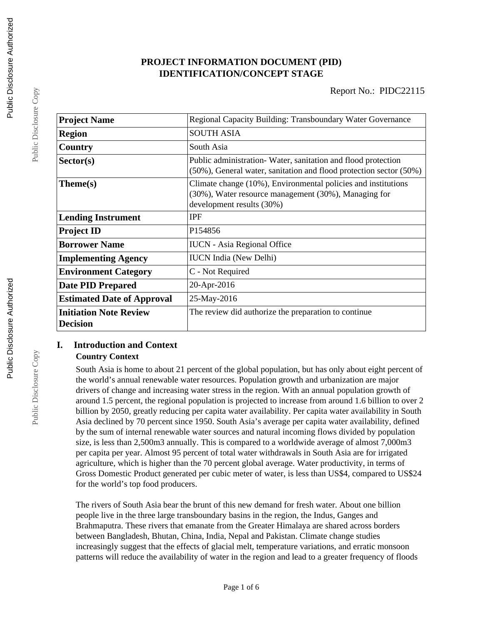## **PROJECT INFORMATION DOCUMENT (PID) IDENTIFICATION/CONCEPT STAGE**

| <b>Project Name</b>                              | Regional Capacity Building: Transboundary Water Governance                                                                                         |
|--------------------------------------------------|----------------------------------------------------------------------------------------------------------------------------------------------------|
| <b>Region</b>                                    | <b>SOUTH ASIA</b>                                                                                                                                  |
| Country                                          | South Asia                                                                                                                                         |
| Sector(s)                                        | Public administration-Water, sanitation and flood protection<br>(50%), General water, sanitation and flood protection sector (50%)                 |
| Theme(s)                                         | Climate change (10%), Environmental policies and institutions<br>(30%), Water resource management (30%), Managing for<br>development results (30%) |
| <b>Lending Instrument</b>                        | <b>IPF</b>                                                                                                                                         |
| <b>Project ID</b>                                | P <sub>154856</sub>                                                                                                                                |
| <b>Borrower Name</b>                             | <b>IUCN</b> - Asia Regional Office                                                                                                                 |
| <b>Implementing Agency</b>                       | <b>IUCN</b> India (New Delhi)                                                                                                                      |
| <b>Environment Category</b>                      | C - Not Required                                                                                                                                   |
| <b>Date PID Prepared</b>                         | 20-Apr-2016                                                                                                                                        |
| <b>Estimated Date of Approval</b>                | 25-May-2016                                                                                                                                        |
| <b>Initiation Note Review</b><br><b>Decision</b> | The review did authorize the preparation to continue                                                                                               |

### **I. Introduction and Context Country Context**

South Asia is home to about 21 percent of the global population, but has only about eight percent of the world's annual renewable water resources. Population growth and urbanization are major drivers of change and increasing water stress in the region. With an annual population growth of around 1.5 percent, the regional population is projected to increase from around 1.6 billion to over 2 billion by 2050, greatly reducing per capita water availability. Per capita water availability in South Asia declined by 70 percent since 1950. South Asia's average per capita water availability, defined by the sum of internal renewable water sources and natural incoming flows divided by population size, is less than 2,500m3 annually. This is compared to a worldwide average of almost 7,000m3 per capita per year. Almost 95 percent of total water withdrawals in South Asia are for irrigated agriculture, which is higher than the 70 percent global average. Water productivity, in terms of Gross Domestic Product generated per cubic meter of water, is less than US\$4, compared to US\$24 for the world's top food producers.

The rivers of South Asia bear the brunt of this new demand for fresh water. About one billion people live in the three large transboundary basins in the region, the Indus, Ganges and Brahmaputra. These rivers that emanate from the Greater Himalaya are shared across borders between Bangladesh, Bhutan, China, India, Nepal and Pakistan. Climate change studies increasingly suggest that the effects of glacial melt, temperature variations, and erratic monsoon patterns will reduce the availability of water in the region and lead to a greater frequency of floods

Public Disclosure Copy

Public Disclosure Copy

Public Disclosure Copy

Public Disclosure Copy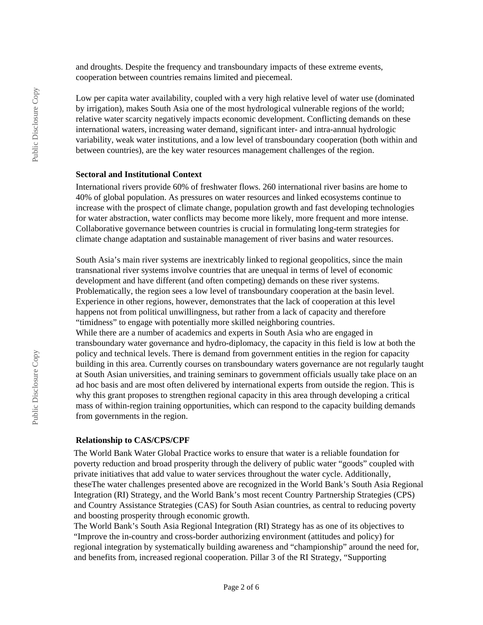and droughts. Despite the frequency and transboundary impacts of these extreme events, cooperation between countries remains limited and piecemeal.

Low per capita water availability, coupled with a very high relative level of water use (dominated by irrigation), makes South Asia one of the most hydrological vulnerable regions of the world; relative water scarcity negatively impacts economic development. Conflicting demands on these international waters, increasing water demand, significant inter- and intra-annual hydrologic variability, weak water institutions, and a low level of transboundary cooperation (both within and between countries), are the key water resources management challenges of the region.

#### **Sectoral and Institutional Context**

International rivers provide 60% of freshwater flows. 260 international river basins are home to 40% of global population. As pressures on water resources and linked ecosystems continue to increase with the prospect of climate change, population growth and fast developing technologies for water abstraction, water conflicts may become more likely, more frequent and more intense. Collaborative governance between countries is crucial in formulating long-term strategies for climate change adaptation and sustainable management of river basins and water resources.

South Asia's main river systems are inextricably linked to regional geopolitics, since the main transnational river systems involve countries that are unequal in terms of level of economic development and have different (and often competing) demands on these river systems. Problematically, the region sees a low level of transboundary cooperation at the basin level. Experience in other regions, however, demonstrates that the lack of cooperation at this level happens not from political unwillingness, but rather from a lack of capacity and therefore "timidness" to engage with potentially more skilled neighboring countries. While there are a number of academics and experts in South Asia who are engaged in transboundary water governance and hydro-diplomacy, the capacity in this field is low at both the policy and technical levels. There is demand from government entities in the region for capacity building in this area. Currently courses on transboundary waters governance are not regularly taught at South Asian universities, and training seminars to government officials usually take place on an ad hoc basis and are most often delivered by international experts from outside the region. This is why this grant proposes to strengthen regional capacity in this area through developing a critical mass of within-region training opportunities, which can respond to the capacity building demands from governments in the region.

#### **Relationship to CAS/CPS/CPF**

The World Bank Water Global Practice works to ensure that water is a reliable foundation for poverty reduction and broad prosperity through the delivery of public water "goods" coupled with private initiatives that add value to water services throughout the water cycle. Additionally, theseThe water challenges presented above are recognized in the World Bank's South Asia Regional Integration (RI) Strategy, and the World Bank's most recent Country Partnership Strategies (CPS) and Country Assistance Strategies (CAS) for South Asian countries, as central to reducing poverty and boosting prosperity through economic growth.

The World Bank's South Asia Regional Integration (RI) Strategy has as one of its objectives to "Improve the in-country and cross-border authorizing environment (attitudes and policy) for regional integration by systematically building awareness and "championship" around the need for, and benefits from, increased regional cooperation. Pillar 3 of the RI Strategy, "Supporting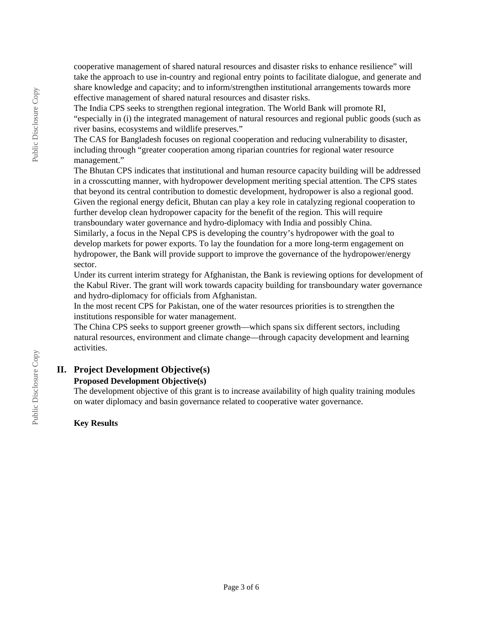cooperative management of shared natural resources and disaster risks to enhance resilience" will take the approach to use in-country and regional entry points to facilitate dialogue, and generate and share knowledge and capacity; and to inform/strengthen institutional arrangements towards more effective management of shared natural resources and disaster risks.

The India CPS seeks to strengthen regional integration. The World Bank will promote RI, "especially in (i) the integrated management of natural resources and regional public goods (such as river basins, ecosystems and wildlife preserves."

The CAS for Bangladesh focuses on regional cooperation and reducing vulnerability to disaster, including through "greater cooperation among riparian countries for regional water resource management."

The Bhutan CPS indicates that institutional and human resource capacity building will be addressed in a crosscutting manner, with hydropower development meriting special attention. The CPS states that beyond its central contribution to domestic development, hydropower is also a regional good. Given the regional energy deficit, Bhutan can play a key role in catalyzing regional cooperation to further develop clean hydropower capacity for the benefit of the region. This will require transboundary water governance and hydro-diplomacy with India and possibly China. Similarly, a focus in the Nepal CPS is developing the country's hydropower with the goal to develop markets for power exports. To lay the foundation for a more long-term engagement on hydropower, the Bank will provide support to improve the governance of the hydropower/energy

sector.

Under its current interim strategy for Afghanistan, the Bank is reviewing options for development of the Kabul River. The grant will work towards capacity building for transboundary water governance and hydro-diplomacy for officials from Afghanistan.

In the most recent CPS for Pakistan, one of the water resources priorities is to strengthen the institutions responsible for water management.

The China CPS seeks to support greener growth—which spans six different sectors, including natural resources, environment and climate change—through capacity development and learning activities.

### **II. Project Development Objective(s)**

### **Proposed Development Objective(s)**

The development objective of this grant is to increase availability of high quality training modules on water diplomacy and basin governance related to cooperative water governance.

### **Key Results**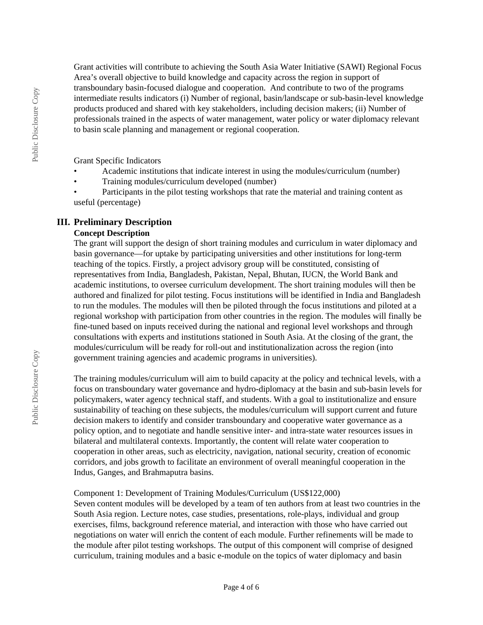Grant activities will contribute to achieving the South Asia Water Initiative (SAWI) Regional Focus Area's overall objective to build knowledge and capacity across the region in support of transboundary basin-focused dialogue and cooperation. And contribute to two of the programs intermediate results indicators (i) Number of regional, basin/landscape or sub-basin-level knowledge products produced and shared with key stakeholders, including decision makers; (ii) Number of professionals trained in the aspects of water management, water policy or water diplomacy relevant to basin scale planning and management or regional cooperation.

Grant Specific Indicators

- Academic institutions that indicate interest in using the modules/curriculum (number)
- Training modules/curriculum developed (number)
- Participants in the pilot testing workshops that rate the material and training content as useful (percentage)

## **III. Preliminary Description**

#### **Concept Description**

The grant will support the design of short training modules and curriculum in water diplomacy and basin governance—for uptake by participating universities and other institutions for long-term teaching of the topics. Firstly, a project advisory group will be constituted, consisting of representatives from India, Bangladesh, Pakistan, Nepal, Bhutan, IUCN, the World Bank and academic institutions, to oversee curriculum development. The short training modules will then be authored and finalized for pilot testing. Focus institutions will be identified in India and Bangladesh to run the modules. The modules will then be piloted through the focus institutions and piloted at a regional workshop with participation from other countries in the region. The modules will finally be fine-tuned based on inputs received during the national and regional level workshops and through consultations with experts and institutions stationed in South Asia. At the closing of the grant, the modules/curriculum will be ready for roll-out and institutionalization across the region (into government training agencies and academic programs in universities).

The training modules/curriculum will aim to build capacity at the policy and technical levels, with a focus on transboundary water governance and hydro-diplomacy at the basin and sub-basin levels for policymakers, water agency technical staff, and students. With a goal to institutionalize and ensure sustainability of teaching on these subjects, the modules/curriculum will support current and future decision makers to identify and consider transboundary and cooperative water governance as a policy option, and to negotiate and handle sensitive inter- and intra-state water resources issues in bilateral and multilateral contexts. Importantly, the content will relate water cooperation to cooperation in other areas, such as electricity, navigation, national security, creation of economic corridors, and jobs growth to facilitate an environment of overall meaningful cooperation in the Indus, Ganges, and Brahmaputra basins.

### Component 1: Development of Training Modules/Curriculum (US\$122,000)

Seven content modules will be developed by a team of ten authors from at least two countries in the South Asia region. Lecture notes, case studies, presentations, role-plays, individual and group exercises, films, background reference material, and interaction with those who have carried out negotiations on water will enrich the content of each module. Further refinements will be made to the module after pilot testing workshops. The output of this component will comprise of designed curriculum, training modules and a basic e-module on the topics of water diplomacy and basin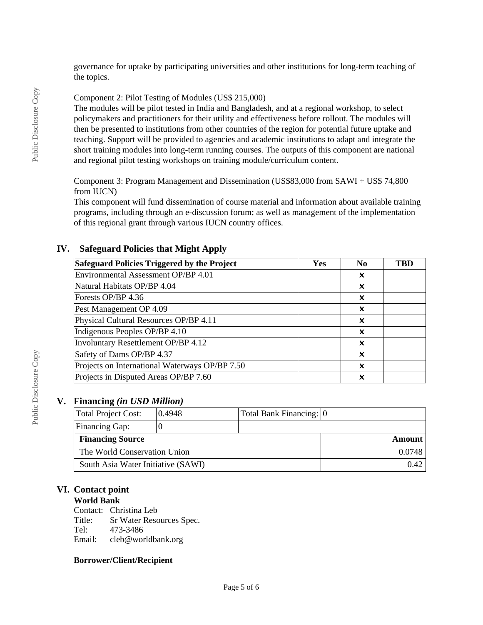governance for uptake by participating universities and other institutions for long-term teaching of the topics.

Component 2: Pilot Testing of Modules (US\$ 215,000)

The modules will be pilot tested in India and Bangladesh, and at a regional workshop, to select policymakers and practitioners for their utility and effectiveness before rollout. The modules will then be presented to institutions from other countries of the region for potential future uptake and teaching. Support will be provided to agencies and academic institutions to adapt and integrate the short training modules into long-term running courses. The outputs of this component are national and regional pilot testing workshops on training module/curriculum content.

Component 3: Program Management and Dissemination (US\$83,000 from SAWI + US\$ 74,800 from IUCN)

This component will fund dissemination of course material and information about available training programs, including through an e-discussion forum; as well as management of the implementation of this regional grant through various IUCN country offices.

## **Safeguard Policies Triggered by the Project**  $Yes$  **No No TBD** Environmental Assessment OP/BP 4.01 Natural Habitats OP/BP 4.04 ✖ Forests OP/BP 4.36 ✖ Pest Management OP 4.09 ✖ Physical Cultural Resources OP/BP 4.11 ✖ Indigenous Peoples OP/BP 4.10  $\times$ Involuntary Resettlement OP/BP 4.12 ✖ Safety of Dams OP/BP 4.37 Projects on International Waterways OP/BP 7.50  $\vert$   $\vert$   $\vert$   $\vert$ Projects in Disputed Areas OP/BP 7.60 ✖

# **IV. Safeguard Policies that Might Apply**

## **V. Financing** *(in USD Million)*

| Total Project Cost:                | 0.4948 | Total Bank Financing: 0 |            |
|------------------------------------|--------|-------------------------|------------|
| <b>Financing Gap:</b>              |        |                         |            |
| <b>Financing Source</b>            |        |                         | Amount $ $ |
| The World Conservation Union       |        | 0.0748                  |            |
| South Asia Water Initiative (SAWI) |        | $0.42$                  |            |

## **VI. Contact point**

### **World Bank**

Contact: Christina Leb Title: Sr Water Resources Spec.<br>Tel: 473-3486 Tel: 473-3486<br>Email: cleb@wor cleb@worldbank.org

### **Borrower/Client/Recipient**